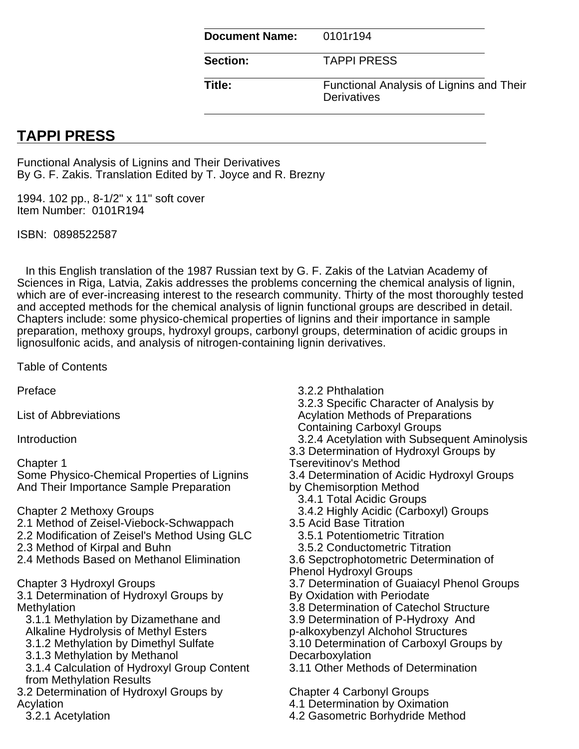| <b>Document Name:</b> | 0101r194                                                |
|-----------------------|---------------------------------------------------------|
| <b>Section:</b>       | <b>TAPPI PRESS</b>                                      |
| Title:                | Functional Analysis of Lignins and Their<br>Derivatives |

## **TAPPI PRESS**

Functional Analysis of Lignins and Their Derivatives By G. F. Zakis. Translation Edited by T. Joyce and R. Brezny

1994. 102 pp., 8-1/2" x 11" soft cover Item Number: 0101R194

ISBN: 0898522587

In this English translation of the 1987 Russian text by G. F. Zakis of the Latvian Academy of Sciences in Riga, Latvia, Zakis addresses the problems concerning the chemical analysis of lignin, which are of ever-increasing interest to the research community. Thirty of the most thoroughly tested and accepted methods for the chemical analysis of lignin functional groups are described in detail. Chapters include: some physico-chemical properties of lignins and their importance in sample preparation, methoxy groups, hydroxyl groups, carbonyl groups, determination of acidic groups in lignosulfonic acids, and analysis of nitrogen-containing lignin derivatives.

Table of Contents

Preface

List of Abbreviations

Introduction

Chapter 1

Some Physico-Chemical Properties of Lignins And Their Importance Sample Preparation

Chapter 2 Methoxy Groups

- 2.1 Method of Zeisel-Viebock-Schwappach
- 2.2 Modification of Zeisel's Method Using GLC
- 2.3 Method of Kirpal and Buhn
- 2.4 Methods Based on Methanol Elimination

Chapter 3 Hydroxyl Groups

3.1 Determination of Hydroxyl Groups by **Methylation** 

3.1.1 Methylation by Dizamethane and Alkaline Hydrolysis of Methyl Esters

- 3.1.2 Methylation by Dimethyl Sulfate
- 3.1.3 Methylation by Methanol

3.1.4 Calculation of Hydroxyl Group Content from Methylation Results

- 3.2 Determination of Hydroxyl Groups by Acylation
	- 3.2.1 Acetylation

3.2.2 Phthalation

3.2.3 Specific Character of Analysis by Acylation Methods of Preparations

Containing Carboxyl Groups

3.2.4 Acetylation with Subsequent Aminolysis

3.3 Determination of Hydroxyl Groups by

Tserevitinov's Method

3.4 Determination of Acidic Hydroxyl Groups by Chemisorption Method

- 3.4.1 Total Acidic Groups
- 3.4.2 Highly Acidic (Carboxyl) Groups
- 3.5 Acid Base Titration
	- 3.5.1 Potentiometric Titration
	- 3.5.2 Conductometric Titration
- 3.6 Sepctrophotometric Determination of
- Phenol Hydroxyl Groups
- 3.7 Determination of Guaiacyl Phenol Groups
- By Oxidation with Periodate
- 3.8 Determination of Catechol Structure
- 3.9 Determination of P-Hydroxy And
- p-alkoxybenzyl Alchohol Structures
- 3.10 Determination of Carboxyl Groups by Decarboxylation
- 3.11 Other Methods of Determination

Chapter 4 Carbonyl Groups

4.1 Determination by Oximation

4.2 Gasometric Borhydride Method